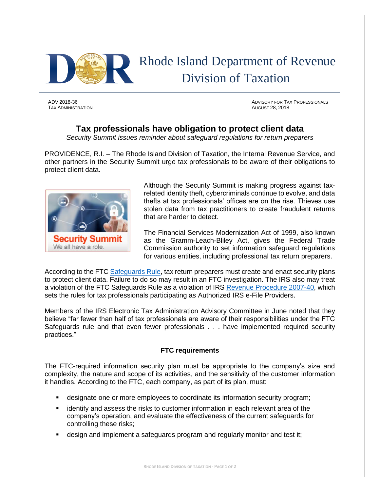

TAX ADMINISTRATION AUGUST 28, 2018

ADV 2018-36 ADVISORY FOR TAX PROFESSIONALS

## **Tax professionals have obligation to protect client data**

*Security Summit issues reminder about safeguard regulations for return preparers*

PROVIDENCE, R.I. – The Rhode Island Division of Taxation, the Internal Revenue Service, and other partners in the Security Summit urge tax professionals to be aware of their obligations to protect client data.



Although the Security Summit is making progress against taxrelated identity theft, cybercriminals continue to evolve, and data thefts at tax professionals' offices are on the rise. Thieves use stolen data from tax practitioners to create fraudulent returns that are harder to detect.

The Financial Services Modernization Act of 1999, also known as the Gramm-Leach-Bliley Act, gives the Federal Trade Commission authority to set information safeguard regulations for various entities, including professional tax return preparers.

According to the FTC [Safeguards Rule,](https://www.ftc.gov/tips-advice/business-center/guidance/financial-institutions-customer-information-complying) tax return preparers must create and enact security plans to protect client data. Failure to do so may result in an FTC investigation. The IRS also may treat a violation of the FTC Safeguards Rule as a violation of IRS [Revenue Procedure 2007-40,](https://www.irs.gov/irb/2007-26_IRB) which sets the rules for tax professionals participating as Authorized IRS e-File Providers.

Members of the IRS Electronic Tax Administration Advisory Committee in June noted that they believe "far fewer than half of tax professionals are aware of their responsibilities under the FTC Safeguards rule and that even fewer professionals . . . have implemented required security practices."

## **FTC requirements**

The FTC-required information security plan must be appropriate to the company's size and complexity, the nature and scope of its activities, and the sensitivity of the customer information it handles. According to the FTC, each company, as part of its plan, must:

- designate one or more employees to coordinate its information security program;
- **•** identify and assess the risks to customer information in each relevant area of the company's operation, and evaluate the effectiveness of the current safeguards for controlling these risks;
- design and implement a safeguards program and regularly monitor and test it;